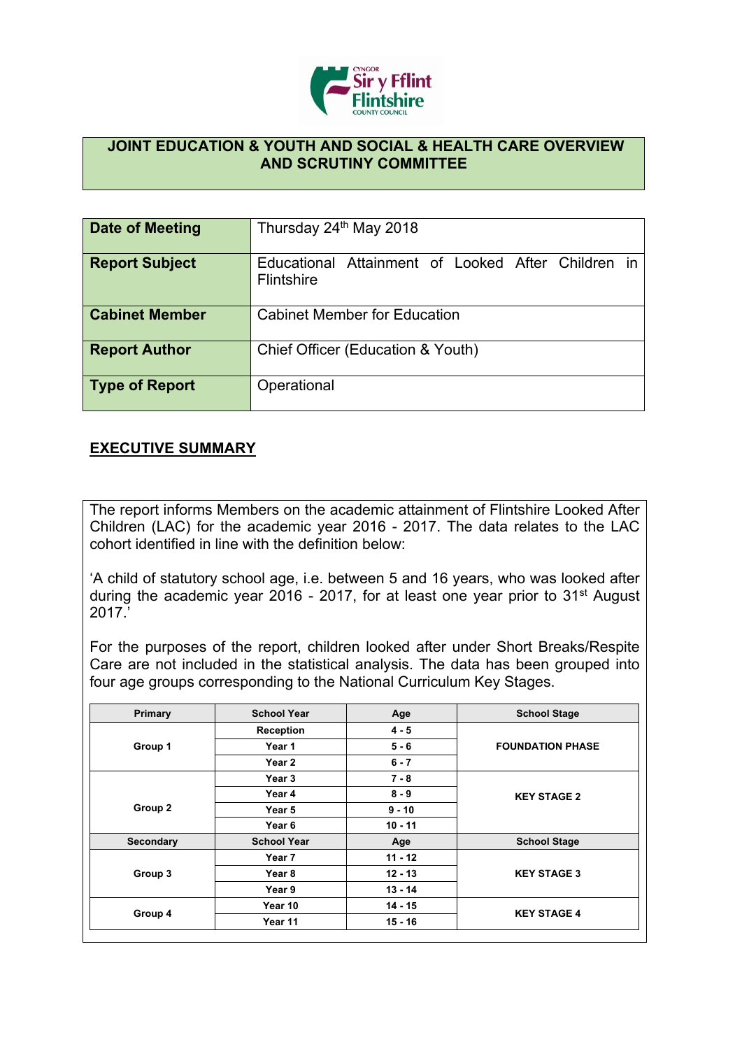

## **JOINT EDUCATION & YOUTH AND SOCIAL & HEALTH CARE OVERVIEW AND SCRUTINY COMMITTEE**

| Date of Meeting       | Thursday 24th May 2018                                                  |
|-----------------------|-------------------------------------------------------------------------|
| <b>Report Subject</b> | Educational Attainment of Looked After Children in<br><b>Flintshire</b> |
| <b>Cabinet Member</b> | <b>Cabinet Member for Education</b>                                     |
| <b>Report Author</b>  | Chief Officer (Education & Youth)                                       |
| <b>Type of Report</b> | Operational                                                             |

## **EXECUTIVE SUMMARY**

The report informs Members on the academic attainment of Flintshire Looked After Children (LAC) for the academic year 2016 - 2017. The data relates to the LAC cohort identified in line with the definition below:

'A child of statutory school age, i.e. between 5 and 16 years, who was looked after during the academic year 2016 - 2017, for at least one year prior to 31st August 2017.'

For the purposes of the report, children looked after under Short Breaks/Respite Care are not included in the statistical analysis. The data has been grouped into four age groups corresponding to the National Curriculum Key Stages.

| Primary   | <b>School Year</b> | Age       | <b>School Stage</b>     |
|-----------|--------------------|-----------|-------------------------|
|           | <b>Reception</b>   | $4 - 5$   |                         |
| Group 1   | Year 1             | $5 - 6$   | <b>FOUNDATION PHASE</b> |
|           | Year 2             | $6 - 7$   |                         |
|           | Year 3             | $7 - 8$   |                         |
|           | Year 4             | $8 - 9$   | <b>KEY STAGE 2</b>      |
| Group 2   | Year 5             | $9 - 10$  |                         |
|           | Year <sub>6</sub>  | $10 - 11$ |                         |
| Secondary | <b>School Year</b> | Age       | <b>School Stage</b>     |
|           | Year 7             | $11 - 12$ |                         |
| Group 3   | Year 8             | $12 - 13$ | <b>KEY STAGE 3</b>      |
|           | Year 9             | $13 - 14$ |                         |
|           | Year 10            | 14 - 15   | <b>KEY STAGE 4</b>      |
| Group 4   | Year 11            | $15 - 16$ |                         |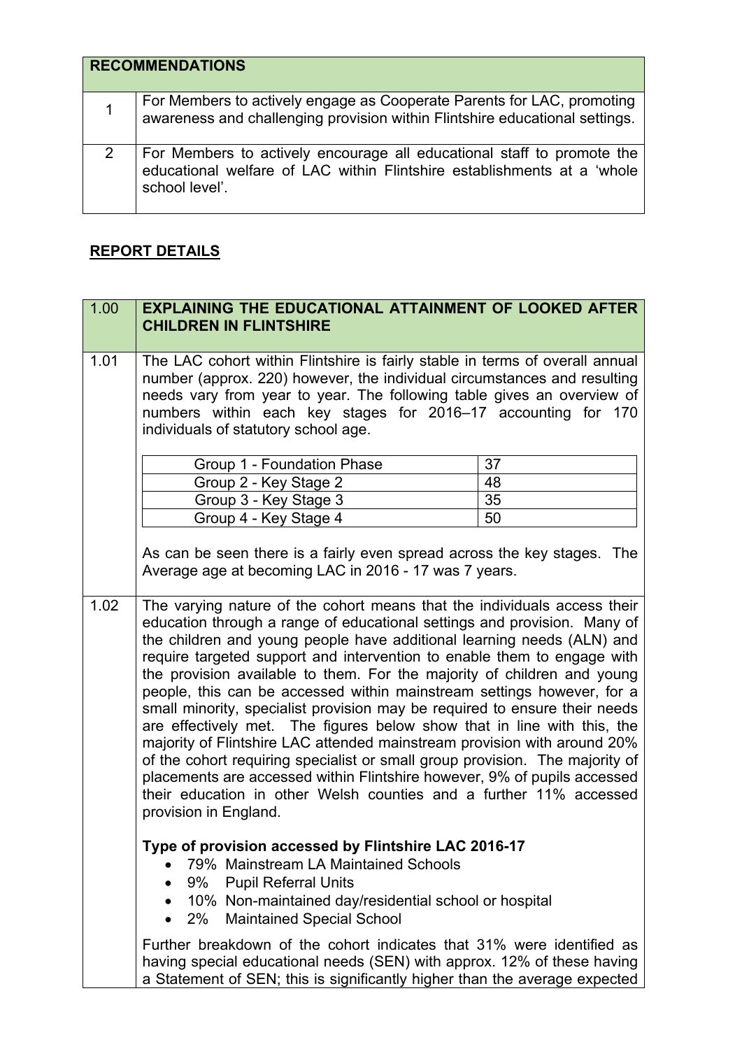| <b>RECOMMENDATIONS</b>                                                                                                                                              |
|---------------------------------------------------------------------------------------------------------------------------------------------------------------------|
| For Members to actively engage as Cooperate Parents for LAC, promoting<br>awareness and challenging provision within Flintshire educational settings.               |
| For Members to actively encourage all educational staff to promote the<br>educational welfare of LAC within Flintshire establishments at a 'whole<br>school level'. |

## **REPORT DETAILS**

| 1.00 | <b>EXPLAINING THE EDUCATIONAL ATTAINMENT OF LOOKED AFTER</b><br><b>CHILDREN IN FLINTSHIRE</b>                                                                                                                                                                                                                                                                                                                                                                                                                                                                                                                                                                                                                                                                                                          |    |
|------|--------------------------------------------------------------------------------------------------------------------------------------------------------------------------------------------------------------------------------------------------------------------------------------------------------------------------------------------------------------------------------------------------------------------------------------------------------------------------------------------------------------------------------------------------------------------------------------------------------------------------------------------------------------------------------------------------------------------------------------------------------------------------------------------------------|----|
| 1.01 | The LAC cohort within Flintshire is fairly stable in terms of overall annual<br>number (approx. 220) however, the individual circumstances and resulting<br>needs vary from year to year. The following table gives an overview of<br>numbers within each key stages for 2016-17 accounting for 170<br>individuals of statutory school age.                                                                                                                                                                                                                                                                                                                                                                                                                                                            |    |
|      | Group 1 - Foundation Phase                                                                                                                                                                                                                                                                                                                                                                                                                                                                                                                                                                                                                                                                                                                                                                             | 37 |
|      | Group 2 - Key Stage 2                                                                                                                                                                                                                                                                                                                                                                                                                                                                                                                                                                                                                                                                                                                                                                                  | 48 |
|      | Group 3 - Key Stage 3                                                                                                                                                                                                                                                                                                                                                                                                                                                                                                                                                                                                                                                                                                                                                                                  | 35 |
|      | Group 4 - Key Stage 4                                                                                                                                                                                                                                                                                                                                                                                                                                                                                                                                                                                                                                                                                                                                                                                  | 50 |
| 1.02 | As can be seen there is a fairly even spread across the key stages. The<br>Average age at becoming LAC in 2016 - 17 was 7 years.<br>The varying nature of the cohort means that the individuals access their<br>education through a range of educational settings and provision. Many of                                                                                                                                                                                                                                                                                                                                                                                                                                                                                                               |    |
|      | the children and young people have additional learning needs (ALN) and<br>require targeted support and intervention to enable them to engage with<br>the provision available to them. For the majority of children and young<br>people, this can be accessed within mainstream settings however, for a<br>small minority, specialist provision may be required to ensure their needs<br>are effectively met. The figures below show that in line with this, the<br>majority of Flintshire LAC attended mainstream provision with around 20%<br>of the cohort requiring specialist or small group provision. The majority of<br>placements are accessed within Flintshire however, 9% of pupils accessed<br>their education in other Welsh counties and a further 11% accessed<br>provision in England. |    |
|      | Type of provision accessed by Flintshire LAC 2016-17<br>79% Mainstream LA Maintained Schools<br>9%<br><b>Pupil Referral Units</b><br>10% Non-maintained day/residential school or hospital<br>2% Maintained Special School                                                                                                                                                                                                                                                                                                                                                                                                                                                                                                                                                                             |    |
|      | Further breakdown of the cohort indicates that 31% were identified as<br>having special educational needs (SEN) with approx. 12% of these having<br>a Statement of SEN; this is significantly higher than the average expected                                                                                                                                                                                                                                                                                                                                                                                                                                                                                                                                                                         |    |

a Statement of SEN; this is significantly higher than the average expected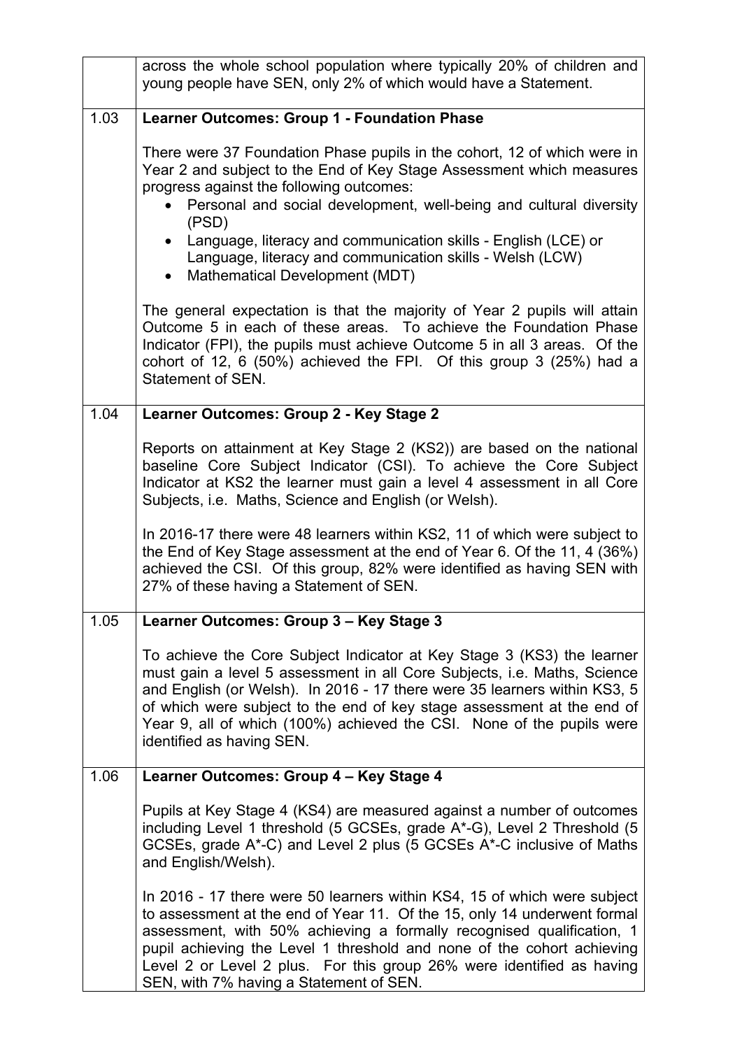|      | across the whole school population where typically 20% of children and<br>young people have SEN, only 2% of which would have a Statement.                                                                                                                                                                                                                                                                                                                 |
|------|-----------------------------------------------------------------------------------------------------------------------------------------------------------------------------------------------------------------------------------------------------------------------------------------------------------------------------------------------------------------------------------------------------------------------------------------------------------|
| 1.03 | <b>Learner Outcomes: Group 1 - Foundation Phase</b>                                                                                                                                                                                                                                                                                                                                                                                                       |
|      | There were 37 Foundation Phase pupils in the cohort, 12 of which were in<br>Year 2 and subject to the End of Key Stage Assessment which measures<br>progress against the following outcomes:<br>Personal and social development, well-being and cultural diversity<br>(PSD)<br>Language, literacy and communication skills - English (LCE) or<br>$\bullet$<br>Language, literacy and communication skills - Welsh (LCW)<br>Mathematical Development (MDT) |
|      | The general expectation is that the majority of Year 2 pupils will attain<br>Outcome 5 in each of these areas. To achieve the Foundation Phase<br>Indicator (FPI), the pupils must achieve Outcome 5 in all 3 areas. Of the<br>cohort of 12, 6 (50%) achieved the FPI. Of this group 3 (25%) had a<br>Statement of SEN.                                                                                                                                   |
| 1.04 | Learner Outcomes: Group 2 - Key Stage 2                                                                                                                                                                                                                                                                                                                                                                                                                   |
|      | Reports on attainment at Key Stage 2 (KS2)) are based on the national<br>baseline Core Subject Indicator (CSI). To achieve the Core Subject<br>Indicator at KS2 the learner must gain a level 4 assessment in all Core<br>Subjects, i.e. Maths, Science and English (or Welsh).<br>In 2016-17 there were 48 learners within KS2, 11 of which were subject to                                                                                              |
|      | the End of Key Stage assessment at the end of Year 6. Of the 11, 4 (36%)<br>achieved the CSI. Of this group, 82% were identified as having SEN with<br>27% of these having a Statement of SEN.                                                                                                                                                                                                                                                            |
| 1.05 | Learner Outcomes: Group 3 – Key Stage 3                                                                                                                                                                                                                                                                                                                                                                                                                   |
|      | To achieve the Core Subject Indicator at Key Stage 3 (KS3) the learner<br>must gain a level 5 assessment in all Core Subjects, i.e. Maths, Science<br>and English (or Welsh). In 2016 - 17 there were 35 learners within KS3, 5<br>of which were subject to the end of key stage assessment at the end of<br>Year 9, all of which (100%) achieved the CSI. None of the pupils were<br>identified as having SEN.                                           |
| 1.06 | Learner Outcomes: Group 4 - Key Stage 4                                                                                                                                                                                                                                                                                                                                                                                                                   |
|      | Pupils at Key Stage 4 (KS4) are measured against a number of outcomes<br>including Level 1 threshold (5 GCSEs, grade A*-G), Level 2 Threshold (5<br>GCSEs, grade A*-C) and Level 2 plus (5 GCSEs A*-C inclusive of Maths<br>and English/Welsh).                                                                                                                                                                                                           |
|      | In 2016 - 17 there were 50 learners within KS4, 15 of which were subject<br>to assessment at the end of Year 11. Of the 15, only 14 underwent formal<br>assessment, with 50% achieving a formally recognised qualification, 1<br>pupil achieving the Level 1 threshold and none of the cohort achieving<br>Level 2 or Level 2 plus. For this group 26% were identified as having<br>SEN, with 7% having a Statement of SEN.                               |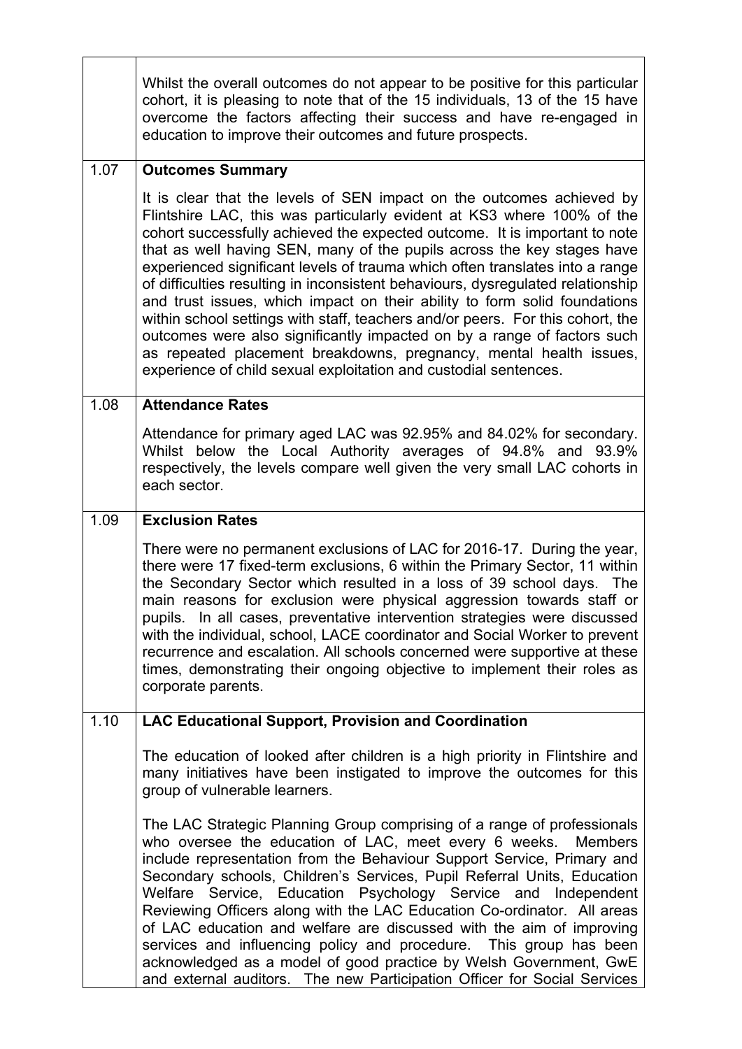|      | Whilst the overall outcomes do not appear to be positive for this particular<br>cohort, it is pleasing to note that of the 15 individuals, 13 of the 15 have<br>overcome the factors affecting their success and have re-engaged in<br>education to improve their outcomes and future prospects.                                                                                                                                                                                                                                                                                                                                                                                                                                                                                      |
|------|---------------------------------------------------------------------------------------------------------------------------------------------------------------------------------------------------------------------------------------------------------------------------------------------------------------------------------------------------------------------------------------------------------------------------------------------------------------------------------------------------------------------------------------------------------------------------------------------------------------------------------------------------------------------------------------------------------------------------------------------------------------------------------------|
| 1.07 | <b>Outcomes Summary</b><br>It is clear that the levels of SEN impact on the outcomes achieved by                                                                                                                                                                                                                                                                                                                                                                                                                                                                                                                                                                                                                                                                                      |
|      | Flintshire LAC, this was particularly evident at KS3 where 100% of the<br>cohort successfully achieved the expected outcome. It is important to note<br>that as well having SEN, many of the pupils across the key stages have<br>experienced significant levels of trauma which often translates into a range<br>of difficulties resulting in inconsistent behaviours, dysregulated relationship<br>and trust issues, which impact on their ability to form solid foundations<br>within school settings with staff, teachers and/or peers. For this cohort, the<br>outcomes were also significantly impacted on by a range of factors such<br>as repeated placement breakdowns, pregnancy, mental health issues,<br>experience of child sexual exploitation and custodial sentences. |
| 1.08 | <b>Attendance Rates</b>                                                                                                                                                                                                                                                                                                                                                                                                                                                                                                                                                                                                                                                                                                                                                               |
|      | Attendance for primary aged LAC was 92.95% and 84.02% for secondary.<br>Whilst below the Local Authority averages of 94.8% and 93.9%<br>respectively, the levels compare well given the very small LAC cohorts in<br>each sector.                                                                                                                                                                                                                                                                                                                                                                                                                                                                                                                                                     |
| 1.09 | <b>Exclusion Rates</b>                                                                                                                                                                                                                                                                                                                                                                                                                                                                                                                                                                                                                                                                                                                                                                |
|      | There were no permanent exclusions of LAC for 2016-17. During the year,<br>there were 17 fixed-term exclusions, 6 within the Primary Sector, 11 within<br>the Secondary Sector which resulted in a loss of 39 school days. The<br>main reasons for exclusion were physical aggression towards staff or<br>pupils. In all cases, preventative intervention strategies were discussed<br>with the individual, school, LACE coordinator and Social Worker to prevent<br>recurrence and escalation. All schools concerned were supportive at these<br>times, demonstrating their ongoing objective to implement their roles as<br>corporate parents.                                                                                                                                      |
| 1.10 | <b>LAC Educational Support, Provision and Coordination</b>                                                                                                                                                                                                                                                                                                                                                                                                                                                                                                                                                                                                                                                                                                                            |
|      | The education of looked after children is a high priority in Flintshire and<br>many initiatives have been instigated to improve the outcomes for this<br>group of vulnerable learners.                                                                                                                                                                                                                                                                                                                                                                                                                                                                                                                                                                                                |
|      | The LAC Strategic Planning Group comprising of a range of professionals<br>who oversee the education of LAC, meet every 6 weeks. Members<br>include representation from the Behaviour Support Service, Primary and<br>Secondary schools, Children's Services, Pupil Referral Units, Education<br>Service, Education Psychology Service and Independent<br>Welfare<br>Reviewing Officers along with the LAC Education Co-ordinator. All areas<br>of LAC education and welfare are discussed with the aim of improving<br>services and influencing policy and procedure. This group has been<br>acknowledged as a model of good practice by Welsh Government, GwE<br>and external auditors. The new Participation Officer for Social Services                                           |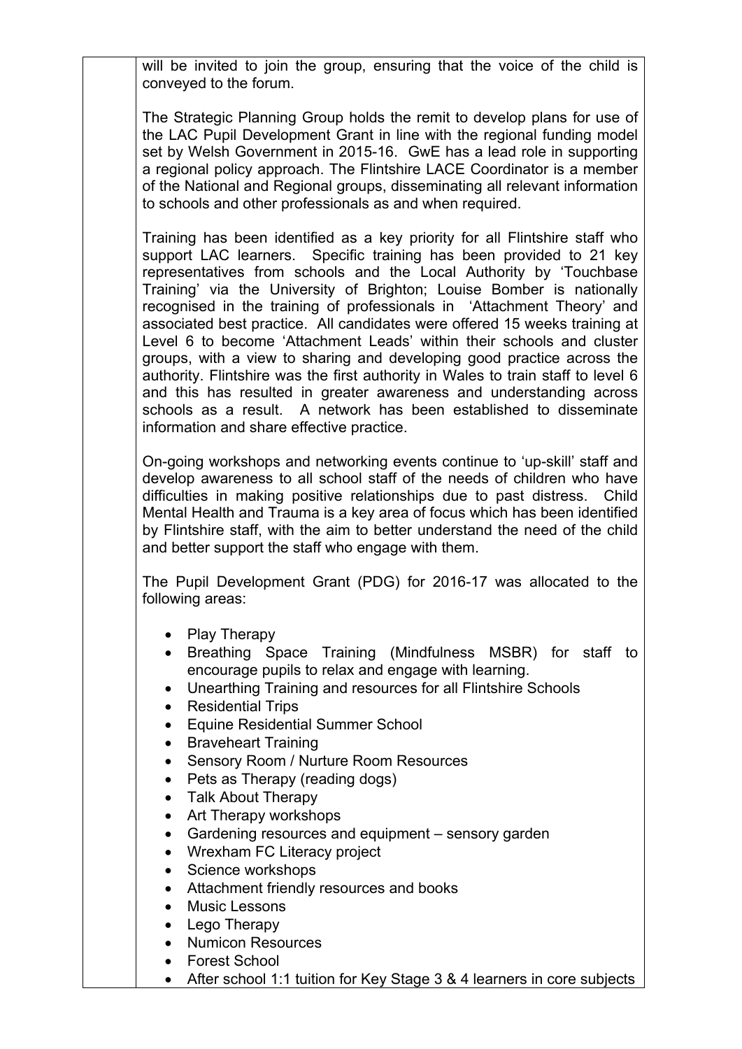will be invited to join the group, ensuring that the voice of the child is conveyed to the forum.

The Strategic Planning Group holds the remit to develop plans for use of the LAC Pupil Development Grant in line with the regional funding model set by Welsh Government in 2015-16. GwE has a lead role in supporting a regional policy approach. The Flintshire LACE Coordinator is a member of the National and Regional groups, disseminating all relevant information to schools and other professionals as and when required.

Training has been identified as a key priority for all Flintshire staff who support LAC learners. Specific training has been provided to 21 key representatives from schools and the Local Authority by 'Touchbase Training' via the University of Brighton; Louise Bomber is nationally recognised in the training of professionals in 'Attachment Theory' and associated best practice. All candidates were offered 15 weeks training at Level 6 to become 'Attachment Leads' within their schools and cluster groups, with a view to sharing and developing good practice across the authority. Flintshire was the first authority in Wales to train staff to level 6 and this has resulted in greater awareness and understanding across schools as a result. A network has been established to disseminate information and share effective practice.

On-going workshops and networking events continue to 'up-skill' staff and develop awareness to all school staff of the needs of children who have difficulties in making positive relationships due to past distress. Child Mental Health and Trauma is a key area of focus which has been identified by Flintshire staff, with the aim to better understand the need of the child and better support the staff who engage with them.

The Pupil Development Grant (PDG) for 2016-17 was allocated to the following areas:

- Play Therapy
- Breathing Space Training (Mindfulness MSBR) for staff to encourage pupils to relax and engage with learning.
- Unearthing Training and resources for all Flintshire Schools
- Residential Trips
- Equine Residential Summer School
- Braveheart Training
- Sensory Room / Nurture Room Resources
- Pets as Therapy (reading dogs)
- Talk About Therapy
- Art Therapy workshops
- Gardening resources and equipment sensory garden
- Wrexham FC Literacy project
- Science workshops
- Attachment friendly resources and books
- Music Lessons
- Lego Therapy
- Numicon Resources
- Forest School
- After school 1:1 tuition for Key Stage 3 & 4 learners in core subjects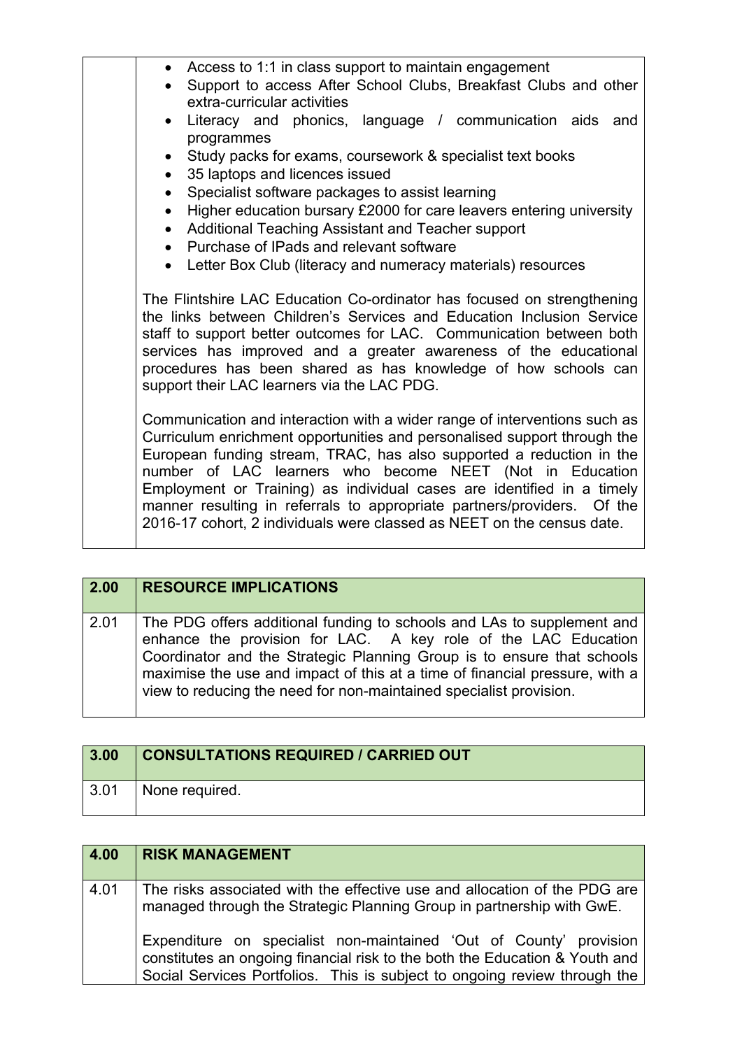| • Access to 1:1 in class support to maintain engagement<br>Support to access After School Clubs, Breakfast Clubs and other<br>extra-curricular activities                                                                                                                                                                                                                                                                                                                                                                   |
|-----------------------------------------------------------------------------------------------------------------------------------------------------------------------------------------------------------------------------------------------------------------------------------------------------------------------------------------------------------------------------------------------------------------------------------------------------------------------------------------------------------------------------|
| Literacy and phonics, language / communication aids and<br>programmes                                                                                                                                                                                                                                                                                                                                                                                                                                                       |
| • Study packs for exams, coursework & specialist text books<br>35 laptops and licences issued                                                                                                                                                                                                                                                                                                                                                                                                                               |
| Specialist software packages to assist learning                                                                                                                                                                                                                                                                                                                                                                                                                                                                             |
| Higher education bursary £2000 for care leavers entering university<br>Additional Teaching Assistant and Teacher support<br>$\bullet$                                                                                                                                                                                                                                                                                                                                                                                       |
| • Purchase of IPads and relevant software                                                                                                                                                                                                                                                                                                                                                                                                                                                                                   |
| • Letter Box Club (literacy and numeracy materials) resources                                                                                                                                                                                                                                                                                                                                                                                                                                                               |
| The Flintshire LAC Education Co-ordinator has focused on strengthening<br>the links between Children's Services and Education Inclusion Service<br>staff to support better outcomes for LAC. Communication between both<br>services has improved and a greater awareness of the educational<br>procedures has been shared as has knowledge of how schools can<br>support their LAC learners via the LAC PDG.                                                                                                                |
| Communication and interaction with a wider range of interventions such as<br>Curriculum enrichment opportunities and personalised support through the<br>European funding stream, TRAC, has also supported a reduction in the<br>number of LAC learners who become NEET (Not in Education<br>Employment or Training) as individual cases are identified in a timely<br>manner resulting in referrals to appropriate partners/providers.<br>Of the<br>2016-17 cohort, 2 individuals were classed as NEET on the census date. |
|                                                                                                                                                                                                                                                                                                                                                                                                                                                                                                                             |

| 2.00 | <b>RESOURCE IMPLICATIONS</b>                                                                                                                                                                                                                                                                                                                                            |
|------|-------------------------------------------------------------------------------------------------------------------------------------------------------------------------------------------------------------------------------------------------------------------------------------------------------------------------------------------------------------------------|
| 2.01 | The PDG offers additional funding to schools and LAs to supplement and<br>enhance the provision for LAC. A key role of the LAC Education<br>Coordinator and the Strategic Planning Group is to ensure that schools<br>maximise the use and impact of this at a time of financial pressure, with a<br>view to reducing the need for non-maintained specialist provision. |

| 3.00                 | <b>CONSULTATIONS REQUIRED / CARRIED OUT</b> |
|----------------------|---------------------------------------------|
| $^{\backprime}$ 3.01 | None required.                              |

| 4.00 | <b>RISK MANAGEMENT</b>                                                                                                                                                                                                         |
|------|--------------------------------------------------------------------------------------------------------------------------------------------------------------------------------------------------------------------------------|
| 4.01 | The risks associated with the effective use and allocation of the PDG are<br>managed through the Strategic Planning Group in partnership with GwE.                                                                             |
|      | Expenditure on specialist non-maintained 'Out of County' provision<br>constitutes an ongoing financial risk to the both the Education & Youth and<br>Social Services Portfolios. This is subject to ongoing review through the |